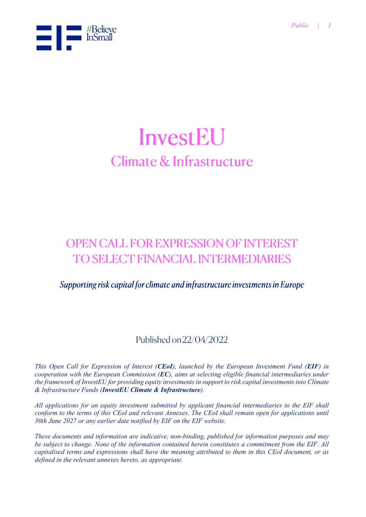

# InvestEU Climate & Infrastructure

## OPEN CALL FOR EXPRESSION OF INTEREST **TO SELECT FINANCIAL INTERMEDIARIES**

Supporting risk capital for climate and infrastructure investments in Europe

### Published on 22/04/2022

*This Open Call for Expression of Interest (CEoI), launched by the European Investment Fund (EIF) in cooperation with the European Commission (EC), aims at selecting eligible financial intermediaries under the framework of InvestEU for providing equity investments in support to risk capital investments into Climate & Infrastructure Funds (InvestEU Climate & Infrastructure).*

*All applications for an equity investment submitted by applicant financial intermediaries to the EIF shall conform to the terms of this CEoI and relevant Annexes. The CEoI shall remain open for applications until 30th June 2027 or any earlier date notified by EIF on the EIF website.*

*These documents and information are indicative, non-binding, published for information purposes and may be subject to change. None of the information contained herein constitutes a commitment from the EIF. All capitalised terms and expressions shall have the meaning attributed to them in this CEoI document, or as defined in the relevant annexes hereto, as appropriate.*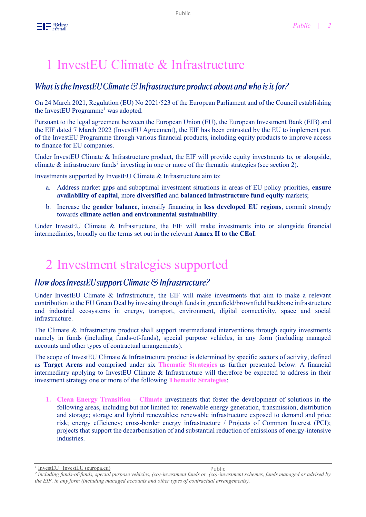## 1 InvestEU Climate & Infrastructure

### What is the InvestEU Climate  $\mathfrak S$  Infrastructure product about and who is it for?

On 24 March 2021, Regulation (EU) No 2021/523 of the European Parliament and of the Council establishing the InvestEU Programme<sup>1</sup> was adopted.

Pursuant to the legal agreement between the European Union (EU), the European Investment Bank (EIB) and the EIF dated 7 March 2022 (InvestEU Agreement), the EIF has been entrusted by the EU to implement part of the [InvestEU Programme](https://europa.eu/investeu/home_en) through various financial products, including equity products to improve access to finance for EU companies.

Under InvestEU Climate & Infrastructure product, the EIF will provide equity investments to, or alongside, climate  $\&$  infrastructure funds<sup>2</sup> investing in one or more of the thematic strategies (see section 2).

Investments supported by InvestEU Climate & Infrastructure aim to:

- a. Address market gaps and suboptimal investment situations in areas of EU policy priorities, **ensure availability of capital**, more **diversified** and **balanced infrastructure fund equity** markets;
- b. Increase the **gender balance**, intensify financing in **less developed EU regions**, commit strongly towards **climate action and environmental sustainability**.

Under InvestEU Climate & Infrastructure, the EIF will make investments into or alongside financial intermediaries, broadly on the terms set out in the relevant **Annex II to the CEoI**.

### 2 Investment strategies supported

### How does InvestEU support Climate & Infrastructure?

Under InvestEU Climate & Infrastructure, the EIF will make investments that aim to make a relevant contribution to the EU Green Deal by investing through funds in greenfield/brownfield backbone infrastructure and industrial ecosystems in energy, transport, environment, digital connectivity, space and social infrastructure.

The Climate & Infrastructure product shall support intermediated interventions through equity investments namely in funds (including funds-of-funds), special purpose vehicles, in any form (including managed accounts and other types of contractual arrangements).

The scope of InvestEU Climate & Infrastructure product is determined by specific sectors of activity, defined as **Target Areas** and comprised under six **Thematic Strategies** as further presented below. A financial intermediary applying to InvestEU Climate & Infrastructure will therefore be expected to address in their investment strategy one or more of the following **Thematic Strategies**:

**1. Clean Energy Transition – Climate** investments that foster the development of solutions in the following areas, including but not limited to: renewable energy generation, transmission, distribution and storage; storage and hybrid renewables; renewable infrastructure exposed to demand and price risk; energy efficiency; cross-border energy infrastructure / Projects of Common Interest (PCI); projects that support the decarbonisation of and substantial reduction of emissions of energy-intensive industries.

*1* [InvestEU | InvestEU \(europa.eu\)](https://europa.eu/investeu/home_en)

*<sup>2</sup> including funds-of-funds, special purpose vehicles, (co)-investment funds or (co)-investment schemes, funds managed or advised by the EIF, in any form (including managed accounts and other types of contractual arrangements).* Public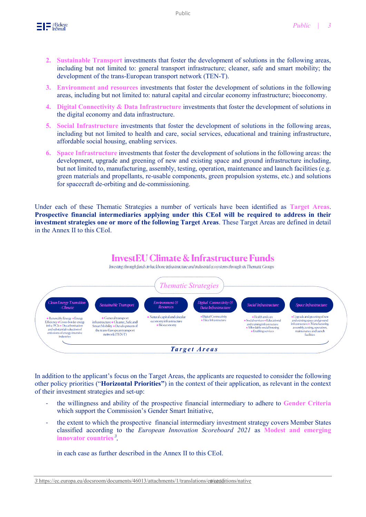

- **2. Sustainable Transport** investments that foster the development of solutions in the following areas, including but not limited to: general transport infrastructure; cleaner, safe and smart mobility; the development of the trans-European transport network (TEN-T).
- **3. Environment and resources** investments that foster the development of solutions in the following areas, including but not limited to: natural capital and circular economy infrastructure; bioeconomy.
- **4. Digital Connectivity & Data Infrastructure** investments that foster the development of solutions in the digital economy and data infrastructure.
- **5. Social Infrastructure** investments that foster the development of solutions in the following areas, including but not limited to health and care, social services, educational and training infrastructure, affordable social housing, enabling services.
- **6. Space Infrastructure** investments that foster the development of solutions in the following areas: the development, upgrade and greening of new and existing space and ground infrastructure including, but not limited to, manufacturing, assembly, testing, operation, maintenance and launch facilities (e.g. green materials and propellants, re-usable components, green propulsion systems, etc.) and solutions for spacecraft de-orbiting and de-commissioning.

Under each of these Thematic Strategies a number of verticals have been identified as **Target Areas**. **Prospective financial intermediaries applying under this CEoI will be required to address in their investment strategies one or more of the following Target Areas**. These Target Areas are defined in detail in the Annex II to this CEoI.



In addition to the applicant's focus on the Target Areas, the applicants are requested to consider the following other policy priorities ("**Horizontal Priorities"**) in the context of their application, as relevant in the context of their investment strategies and set-up:

- the willingness and ability of the prospective financial intermediary to adhere to **Gender Criteria** which support the Commission's Gender Smart Initiative,
- the extent to which the prospective financial intermediary investment strategy covers Member States classified according to the *European Innovation Scoreboard 2021* as **Modest and emerging innovator countries** *<sup>3</sup> ,*

in each case as further described in the Annex II to this CEoI.

*3* https://ec.europa.eu/docsroom/documents/46013/attachments/1/translations/em/neticlitions/native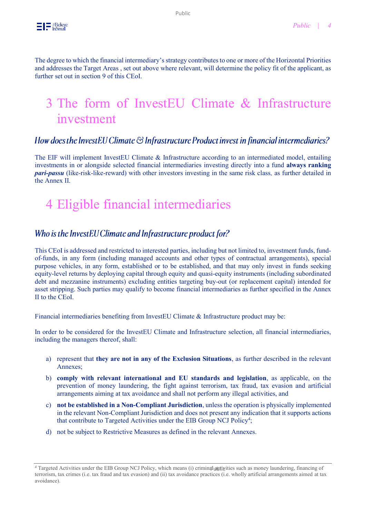The degree to which the financial intermediary's strategy contributes to one or more of the Horizontal Priorities and addresses the Target Areas , set out above where relevant, will determine the policy fit of the applicant, as further set out in section 9 of this CEoI.

## 3 The form of InvestEU Climate & Infrastructure investment

### How does the InvestEU Climate  $\otimes$  Infrastructure Product invest in financial intermediaries?

The EIF will implement InvestEU Climate & Infrastructure according to an intermediated model, entailing investments in or alongside selected financial intermediaries investing directly into a fund **always ranking**  *pari-passu* (like-risk-like-reward) with other investors investing in the same risk class*,* as further detailed in the Annex II.

## 4 Eligible financial intermediaries

### Who is the InvestEU Climate and Infrastructure product for?

This CEoI is addressed and restricted to interested parties, including but not limited to, investment funds, fundof-funds, in any form (including managed accounts and other types of contractual arrangements), special purpose vehicles, in any form, established or to be established, and that may only invest in funds seeking equity-level returns by deploying capital through equity and quasi-equity instruments (including subordinated debt and mezzanine instruments) excluding entities targeting buy-out (or replacement capital) intended for asset stripping. Such parties may qualify to become financial intermediaries as further specified in the Annex II to the CEoI.

Financial intermediaries benefiting from InvestEU Climate & Infrastructure product may be:

In order to be considered for the InvestEU Climate and Infrastructure selection, all financial intermediaries, including the managers thereof, shall:

- a) represent that **they are not in any of the Exclusion Situations**, as further described in the relevant Annexes;
- b) **comply with relevant international and EU standards and legislation**, as applicable, on the prevention of money laundering, the fight against terrorism, tax fraud, tax evasion and artificial arrangements aiming at tax avoidance and shall not perform any illegal activities, and
- c) **not be established in a Non-Compliant Jurisdiction**, unless the operation is physically implemented in the relevant Non-Compliant Jurisdiction and does not present any indication that it supports actions that contribute to Targeted Activities under the EIB Group NCJ Policy<sup>4</sup>;
- d) not be subject to Restrictive Measures as defined in the relevant Annexes.

<sup>&</sup>lt;sup>4</sup> Targeted Activities under the EIB Group NCJ Policy, which means (i) criminal assiliaties such as money laundering, financing of terrorism, tax crimes (i.e. tax fraud and tax evasion) and (ii) tax avoidance practices (i.e. wholly artificial arrangements aimed at tax avoidance).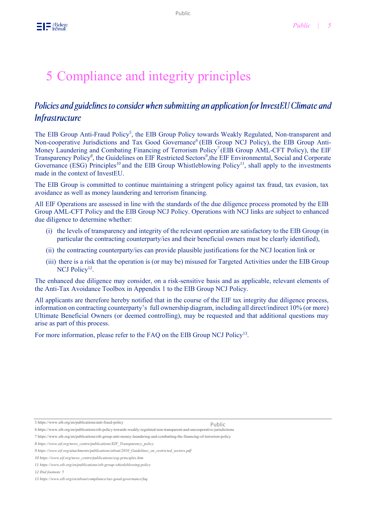## 5 Compliance and integrity principles

### Policies and guidelines to consider when submitting an application for InvestEU Climate and **Infrastructure**

The EIB Group Anti-Fraud Policy*<sup>5</sup>* , the EIB Group Policy towards Weakly Regulated, Non-transparent and Non-cooperative Jurisdictions and Tax Good Governance*<sup>6</sup>* (EIB Group NCJ Policy), the EIB Group Anti-Money Laundering and Combating Financing of Terrorism Policy*<sup>7</sup>* (EIB Group AML-CFT Policy), the EIF Transparency Policy<sup>8</sup>, the Guidelines on EIF Restricted Sectors<sup>9</sup>, the EIF Environmental, Social and Corporate Governance (ESG) Principles*<sup>10</sup>* and the EIB Group Whistleblowing Policy*<sup>11</sup>*, shall apply to the investments made in the context of InvestEU.

The EIB Group is committed to continue maintaining a stringent policy against tax fraud, tax evasion, tax avoidance as well as money laundering and terrorism financing.

All EIF Operations are assessed in line with the standards of the due diligence process promoted by the EIB Group AML-CFT Policy and the EIB Group NCJ Policy. Operations with NCJ links are subject to enhanced due diligence to determine whether:

- (i) the levels of transparency and integrity of the relevant operation are satisfactory to the EIB Group (in particular the contracting counterparty/ies and their beneficial owners must be clearly identified),
- (ii) the contracting counterparty/ies can provide plausible justifications for the NCJ location link or
- (iii) there is a risk that the operation is (or may be) misused for Targeted Activities under the EIB Group NCJ Policy<sup>12</sup>.

The enhanced due diligence may consider, on a risk-sensitive basis and as applicable, relevant elements of the Anti-Tax Avoidance Toolbox in Appendix 1 to the EIB Group NCJ Policy.

All applicants are therefore hereby notified that in the course of the EIF tax integrity due diligence process, information on contracting counterparty's full ownership diagram, including all direct/indirect 10% (or more) Ultimate Beneficial Owners (or deemed controlling), may be requested and that additional questions may arise as part of this process.

For more information, please refer to the FAQ on the EIB Group NCJ Policy<sup>13</sup>.

*12 Ibid footnote 5*

<sup>5</sup> <https://www.eib.org/en/publications/anti-fraud-policy>

Public

<sup>6</sup> <https://www.eib.org/en/publications/eib-policy-towards-weakly-regulated-non-transparent-and-uncooperative-jurisdictions>

<sup>7</sup> <https://www.eib.org/en/publications/eib-group-anti-money-laundering-and-combatting-the-financing-of-terrorism-policy>

*<sup>8</sup> https://www.eif.org/news\_centre/publications/EIF\_Transparency\_policy* 

*<sup>9</sup> [https://www.eif.org/attachments/publications/about/2010\\_Guidelines\\_on\\_restricted\\_sectors.pdf](https://www.eif.org/attachments/publications/about/2010_Guidelines_on_restricted_sectors.pdf)*

*<sup>10</sup> https://www.eif.org/news\_centre/publications/esg-principles.htm* 

*<sup>11</sup> <https://www.eib.org/en/publications/eib-group-whistleblowing-policy>*

*<sup>13</sup> <https://www.eib.org/en/about/compliance/tax-good-governance/faq>*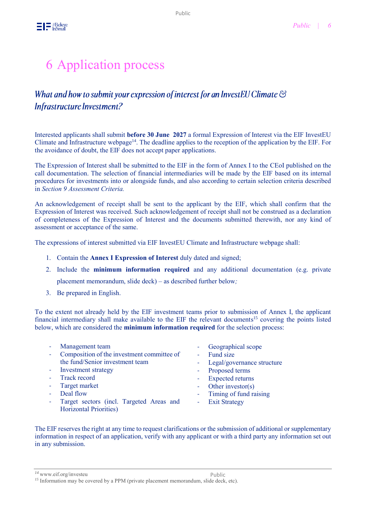$\blacksquare$   $\blacksquare$  #Believe

## 6 Application process

### What and how to submit your expression of interest for an Invest EU Climate  $\Im$ Infrastructure Investment?

Interested applicants shall submit **before 30 June 2027** a formal Expression of Interest via the EIF InvestEU Climate and Infrastructure webpage<sup>14</sup>. The deadline applies to the reception of the application by the EIF. For the avoidance of doubt, the EIF does not accept paper applications.

The Expression of Interest shall be submitted to the EIF in the form of Annex I to the CEoI published on the call documentation. The selection of financial intermediaries will be made by the EIF based on its internal procedures for investments into or alongside funds, and also according to certain selection criteria described in *Section 9 Assessment Criteria.*

An acknowledgement of receipt shall be sent to the applicant by the EIF, which shall confirm that the Expression of Interest was received. Such acknowledgement of receipt shall not be construed as a declaration of completeness of the Expression of Interest and the documents submitted therewith, nor any kind of assessment or acceptance of the same.

The expressions of interest submitted via EIF InvestEU Climate and Infrastructure webpage shall:

- 1. Contain the **Annex I Expression of Interest** duly dated and signed;
- 2. Include the **minimum information required** and any additional documentation (e.g. private placement memorandum, slide deck) – as described further below*;*
- 3. Be prepared in English.

To the extent not already held by the EIF investment teams prior to submission of Annex I, the applicant financial intermediary shall make available to the EIF the relevant documents <sup>15</sup> covering the points listed below, which are considered the **minimum information required** for the selection process:

- Management team
- Composition of the investment committee of the fund/Senior investment team
- Investment strategy
- Track record
- Target market
- Deal flow
- Target sectors (incl. Targeted Areas and Horizontal Priorities)
- Geographical scope
- Fund size
- Legal/governance structure
- Proposed terms
- Expected returns
- Other investor(s)
- Timing of fund raising
- **Exit Strategy**

The EIF reserves the right at any time to request clarifications or the submission of additional or supplementary information in respect of an application, verify with any applicant or with a third party any information set out in any submission.

*<sup>14</sup>* www.eif.org/investeu  $<sup>15</sup>$  Information may be covered by a PPM (private placement memorandum, slide deck, etc).</sup>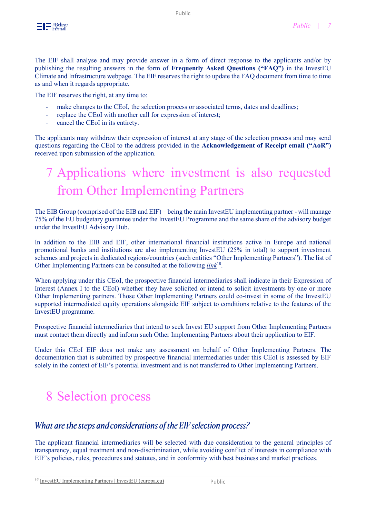The EIF shall analyse and may provide answer in a form of direct response to the applicants and/or by publishing the resulting answers in the form of **Frequently Asked Questions ("FAQ")** in the InvestEU Climate and Infrastructure webpage. The EIF reserves the right to update the FAQ document from time to time as and when it regards appropriate.

The EIF reserves the right, at any time to:

- make changes to the CEoI, the selection process or associated terms, dates and deadlines;
- replace the CEoI with another call for expression of interest;
- cancel the CEoI in its entirety.

The applicants may withdraw their expression of interest at any stage of the selection process and may send questions regarding the CEoI to the address provided in the **Acknowledgement of Receipt email ("AoR")**  received upon submission of the application.

## 7 Applications where investment is also requested from Other Implementing Partners

The EIB Group (comprised of the EIB and EIF) – being the main InvestEU implementing partner - will manage 75% of the EU budgetary guarantee under the InvestEU Programme and the same share of the advisory budget under the InvestEU Advisory Hub.

In addition to the EIB and EIF, other international financial institutions active in Europe and national promotional banks and institutions are also implementing InvestEU (25% in total) to support investment schemes and projects in dedicated regions/countries (such entities "Other Implementing Partners"). The list of Other Implementing Partners can be consulted at the following *[link](https://europa.eu/investeu/investeu-fund/investeu-implementing-partners_en)*<sup>16</sup>.

When applying under this CEOI, the prospective financial intermediaries shall indicate in their Expression of Interest (Annex I to the CEoI) whether they have solicited or intend to solicit investments by one or more Other Implementing partners. Those Other Implementing Partners could co-invest in some of the InvestEU supported intermediated equity operations alongside EIF subject to conditions relative to the features of the InvestEU programme.

Prospective financial intermediaries that intend to seek Invest EU support from Other Implementing Partners must contact them directly and inform such Other Implementing Partners about their application to EIF.

Under this CEoI EIF does not make any assessment on behalf of Other Implementing Partners. The documentation that is submitted by prospective financial intermediaries under this CEoI is assessed by EIF solely in the context of EIF's potential investment and is not transferred to Other Implementing Partners.

## 8 Selection process

### What are the steps and considerations of the EIF selection process?

The applicant financial intermediaries will be selected with due consideration to the general principles of transparency, equal treatment and non-discrimination, while avoiding conflict of interests in compliance with EIF's policies, rules, procedures and statutes, and in conformity with best business and market practices.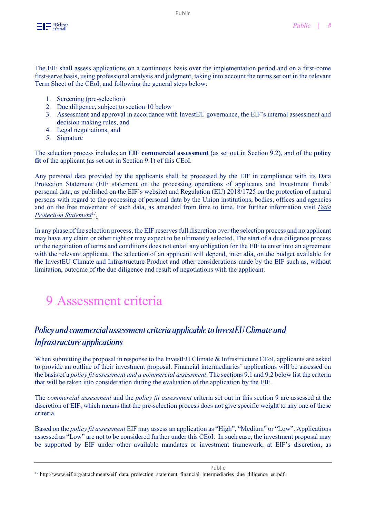

The EIF shall assess applications on a continuous basis over the implementation period and on a first-come first-serve basis, using professional analysis and judgment, taking into account the terms set out in the relevant Term Sheet of the CEoI, and following the general steps below:

- 1. Screening (pre-selection)
- 2. Due diligence, subject to section 10 below
- 3. Assessment and approval in accordance with InvestEU governance, the EIF's internal assessment and decision making rules, and
- 4. Legal negotiations, and
- 5. Signature

The selection process includes an **EIF commercial assessment** (as set out in Section 9.2), and of the **policy fit** of the applicant (as set out in Section 9.1) of this CEoI.

Any personal data provided by the applicants shall be processed by the EIF in compliance with its Data Protection Statement (EIF statement on the processing operations of applicants and Investment Funds' personal data, as published on the EIF's website) and Regulation (EU) 2018/1725 on the protection of natural persons with regard to the processing of personal data by the Union institutions, bodies, offices and agencies and on the free movement of such data, as amended from time to time. For further information visit *[Data](http://www.eif.org/attachments/eif_data_protection_statement_financial_intermediaries_due_diligence_en.pdf)*  **[Protection Statement](http://www.eif.org/attachments/eif_data_protection_statement_financial_intermediaries_due_diligence_en.pdf)<sup>17</sup></u>.** 

In any phase of the selection process, the EIF reserves full discretion over the selection process and no applicant may have any claim or other right or may expect to be ultimately selected. The start of a due diligence process or the negotiation of terms and conditions does not entail any obligation for the EIF to enter into an agreement with the relevant applicant. The selection of an applicant will depend, inter alia, on the budget available for the InvestEU Climate and Infrastructure Product and other considerations made by the EIF such as, without limitation, outcome of the due diligence and result of negotiations with the applicant.

## 9 Assessment criteria

### Policy and commercial assessment criteria applicable to InvestEU Climate and Infrastructure applications

When submitting the proposal in response to the InvestEU Climate & Infrastructure CEoI, applicants are asked to provide an outline of their investment proposal. Financial intermediaries' applications will be assessed on the basis of a *policy fit assessment and a commercial assessment*. The sections 9.1 and 9.2 below list the criteria that will be taken into consideration during the evaluation of the application by the EIF.

The *commercial assessment* and the *policy fit assessment* criteria set out in this section 9 are assessed at the discretion of EIF, which means that the pre-selection process does not give specific weight to any one of these criteria.

Based on the *policy fit assessment* EIF may assess an application as "High", "Medium" or "Low". Applications assessed as "Low" are not to be considered further under this CEoI. In such case, the investment proposal may be supported by EIF under other available mandates or investment framework, at EIF's discretion, as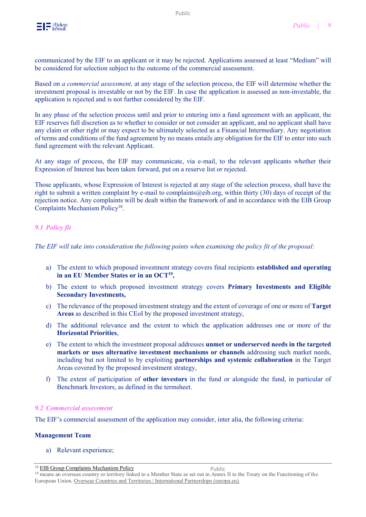communicated by the EIF to an applicant or it may be rejected. Applications assessed at least "Medium" will be considered for selection subject to the outcome of the commercial assessment.

Based on *a commercial assessment,* at any stage of the selection process, the EIF will determine whether the investment proposal is investable or not by the EIF. In case the application is assessed as non-investable, the application is rejected and is not further considered by the EIF.

In any phase of the selection process until and prior to entering into a fund agreement with an applicant, the EIF reserves full discretion as to whether to consider or not consider an applicant, and no applicant shall have any claim or other right or may expect to be ultimately selected as a Financial Intermediary. Any negotiation of terms and conditions of the fund agreement by no means entails any obligation for the EIF to enter into such fund agreement with the relevant Applicant.

At any stage of process, the EIF may communicate, via e-mail, to the relevant applicants whether their Expression of Interest has been taken forward, put on a reserve list or rejected.

Those applicants, whose Expression of Interest is rejected at any stage of the selection process, shall have the right to submit a written complaint by e-mail to complaints  $(\partial e^{\phi} \cdot \partial \phi)$ , within thirty (30) days of receipt of the rejection notice. Any complaints will be dealt within the framework of and in accordance with the EIB Group Complaints Mechanism Policy<sup>18</sup>.

#### *9.1 Policy fit*

*The EIF will take into consideration the following points when examining the policy fit of the proposal:*

- a) The extent to which proposed investment strategy covers final recipients **established and operating in an EU Member States or in an OCT<sup>19</sup> ,**
- b) The extent to which proposed investment strategy covers **Primary Investments and Eligible Secondary Investments,**
- c) The relevance of the proposed investment strategy and the extent of coverage of one or more of **Target Areas** as described in this CEoI by the proposed investment strategy,
- d) The additional relevance and the extent to which the application addresses one or more of the **Horizontal Priorities**,
- e) The extent to which the investment proposal addresses **unmet or underserved needs in the targeted markets or uses alternative investment mechanisms or channels** addressing such market needs, including but not limited to by exploiting **partnerships and systemic collaboration** in the Target Areas covered by the proposed investment strategy,
- f) The extent of participation of **other investors** in the fund or alongside the fund, in particular of Benchmark Investors, as defined in the termsheet.

#### *9.2 Commercial assessment*

The EIF's commercial assessment of the application may consider, inter alia, the following criteria:

#### **Management Team**

a) Relevant experience;

*<sup>18</sup>* [EIB Group Complaints Mechanism Policy](https://www.eib.org/en/publications/complaints-mechanism-policy)

<sup>&</sup>lt;sup>19</sup> means an overseas country or territory linked to a Member State as set out in Annex II to the Treaty on the Functioning of the European Union[. Overseas Countries and Territories | International Partnerships \(europa.eu\).](https://ec.europa.eu/international-partnerships/where-we-work/overseas-countries-and-territories_en) Public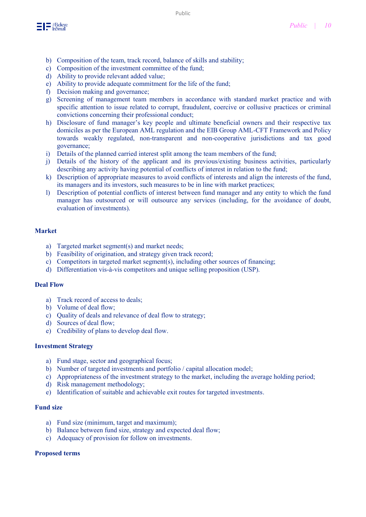

- b) Composition of the team, track record, balance of skills and stability;
- c) Composition of the investment committee of the fund;
- d) Ability to provide relevant added value;
- e) Ability to provide adequate commitment for the life of the fund;
- f) Decision making and governance;
- g) Screening of management team members in accordance with standard market practice and with specific attention to issue related to corrupt, fraudulent, coercive or collusive practices or criminal convictions concerning their professional conduct;
- h) Disclosure of fund manager's key people and ultimate beneficial owners and their respective tax domiciles as per the European AML regulation and the EIB Group AML-CFT Framework and Policy towards weakly regulated, non-transparent and non-cooperative jurisdictions and tax good governance;
- i) Details of the planned carried interest split among the team members of the fund;
- j) Details of the history of the applicant and its previous/existing business activities, particularly describing any activity having potential of conflicts of interest in relation to the fund;
- k) Description of appropriate measures to avoid conflicts of interests and align the interests of the fund, its managers and its investors, such measures to be in line with market practices;
- l) Description of potential conflicts of interest between fund manager and any entity to which the fund manager has outsourced or will outsource any services (including, for the avoidance of doubt, evaluation of investments).

#### **Market**

- a) Targeted market segment(s) and market needs;
- b) Feasibility of origination, and strategy given track record;
- c) Competitors in targeted market segment(s), including other sources of financing;
- d) Differentiation vis-à-vis competitors and unique selling proposition (USP).

#### **Deal Flow**

- a) Track record of access to deals;
- b) Volume of deal flow;
- c) Quality of deals and relevance of deal flow to strategy;
- d) Sources of deal flow;
- e) Credibility of plans to develop deal flow.

#### **Investment Strategy**

- a) Fund stage, sector and geographical focus;
- b) Number of targeted investments and portfolio / capital allocation model;
- c) Appropriateness of the investment strategy to the market, including the average holding period;
- d) Risk management methodology;
- e) Identification of suitable and achievable exit routes for targeted investments.

#### **Fund size**

- a) Fund size (minimum, target and maximum);
- b) Balance between fund size, strategy and expected deal flow;
- c) Adequacy of provision for follow on investments.

#### **Proposed terms**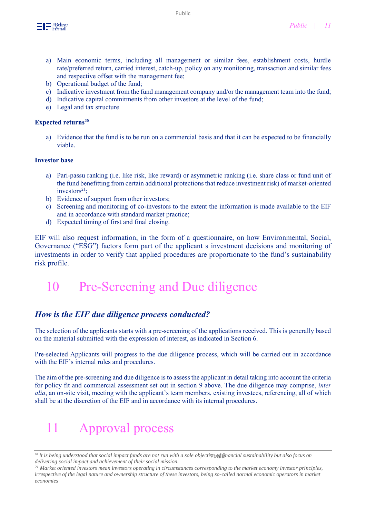

- a) Main economic terms, including all management or similar fees, establishment costs, hurdle rate/preferred return, carried interest, catch-up, policy on any monitoring, transaction and similar fees and respective offset with the management fee;
- b) Operational budget of the fund;
- c) Indicative investment from the fund management company and/or the management team into the fund;
- d) Indicative capital commitments from other investors at the level of the fund;
- e) Legal and tax structure

#### **Expected returns<sup>20</sup>**

a) Evidence that the fund is to be run on a commercial basis and that it can be expected to be financially viable.

#### **Investor base**

- a) Pari-passu ranking (i.e. like risk, like reward) or asymmetric ranking (i.e. share class or fund unit of the fund benefitting from certain additional protections that reduce investment risk) of market-oriented investors $21$ ;
- b) Evidence of support from other investors;
- c) Screening and monitoring of co-investors to the extent the information is made available to the EIF and in accordance with standard market practice;
- d) Expected timing of first and final closing.

EIF will also request information, in the form of a questionnaire, on how Environmental, Social, Governance ("ESG") factors form part of the applicant s investment decisions and monitoring of investments in order to verify that applied procedures are proportionate to the fund's sustainability risk profile.

## 10 Pre-Screening and Due diligence

#### *How is the EIF due diligence process conducted?*

The selection of the applicants starts with a pre-screening of the applications received. This is generally based on the material submitted with the expression of interest, as indicated in Section 6.

Pre-selected Applicants will progress to the due diligence process, which will be carried out in accordance with the EIF's internal rules and procedures.

The aim of the pre-screening and due diligence is to assess the applicant in detail taking into account the criteria for policy fit and commercial assessment set out in section 9 above. The due diligence may comprise, *inter alia*, an on-site visit, meeting with the applicant's team members, existing investees, referencing, all of which shall be at the discretion of the EIF and in accordance with its internal procedures.

## 11 Approval process

<sup>&</sup>lt;sup>20</sup> It is being understood that social impact funds are not run with a sole objectipa **of fi**nancial sustainability but also focus on *delivering social impact and achievement of their social mission.*

*<sup>21</sup> Market oriented investors mean investors operating in circumstances corresponding to the market economy investor principles, irrespective of the legal nature and ownership structure of these investors, being so-called normal economic operators in market economies*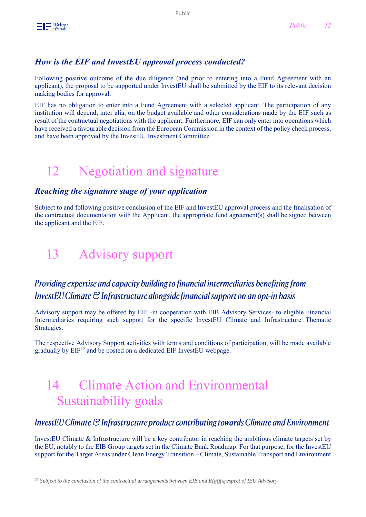### *How is the EIF and InvestEU approval process conducted?*

Following positive outcome of the due diligence (and prior to entering into a Fund Agreement with an applicant), the proposal to be supported under InvestEU shall be submitted by the EIF to its relevant decision making bodies for approval.

EIF has no obligation to enter into a Fund Agreement with a selected applicant. The participation of any institution will depend, inter alia, on the budget available and other considerations made by the EIF such as result of the contractual negotiations with the applicant. Furthermore, EIF can only enter into operations which have received a favourable decision from the European Commission in the context of the policy check process, and have been approved by the InvestEU Investment Committee.

## 12 Negotiation and signature

### *Reaching the signature stage of your application*

Subject to and following positive conclusion of the EIF and InvestEU approval process and the finalisation of the contractual documentation with the Applicant, the appropriate fund agreement(s) shall be signed between the applicant and the EIF.

## 13 Advisory support

### Providing expertise and capacity building to financial intermediaries benefiting from InvestEU Climate & Infrastructure alongside financial support on an opt-in basis

Advisory support may be offered by EIF -in cooperation with EIB Advisory Services- to eligible Financial Intermediaries requiring such support for the specific InvestEU Climate and Infrastructure Thematic Strategies.

The respective Advisory Support activities with terms and conditions of participation, will be made available gradually by  $EIF^{22}$  and be posted on a dedicated  $EIF$  InvestEU webpage.

## 14 Climate Action and Environmental Sustainability goals

### Invest EU Climate  $\mathfrak S$  Infrastructure product contributing towards Climate and Environment

InvestEU Climate & Infrastructure will be a key contributor in reaching the ambitious climate targets set by the EU, notably to the EIB Group targets set in the Climate Bank Roadmap. For that purpose, for the InvestEU support for the Target Areas under Clean Energy Transition – Climate, Sustainable Transport and Environment

<sup>&</sup>lt;sup>22</sup> Subject to the conclusion of the contractual arrangements between EIB and Elfgingespect of IEU Advisory.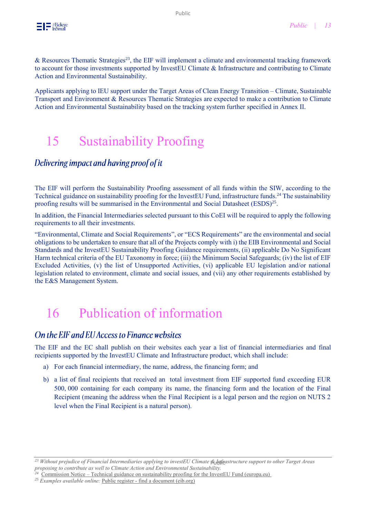& Resources Thematic Strategies<sup>23</sup>, the EIF will implement a climate and environmental tracking framework to account for those investments supported by InvestEU Climate & Infrastructure and contributing to Climate Action and Environmental Sustainability.

Applicants applying to IEU support under the Target Areas of Clean Energy Transition – Climate, Sustainable Transport and Environment & Resources Thematic Strategies are expected to make a contribution to Climate Action and Environmental Sustainability based on the tracking system further specified in Annex II.

## 15 Sustainability Proofing

### Delivering impact and having proof of it

The EIF will perform the Sustainability Proofing assessment of all funds within the SIW, according to the Technical guidance on sustainability proofing for the InvestEU Fund, infrastructure funds.<sup>24</sup> The sustainability proofing results will be summarised in the Environmental and Social Datasheet (ESDS)<sup>25</sup>.

In addition, the Financial Intermediaries selected pursuant to this CoEI will be required to apply the following requirements to all their investments.

"Environmental, Climate and Social Requirements", or "ECS Requirements" are the environmental and social obligations to be undertaken to ensure that all of the Projects comply with i) the EIB Environmental and Social Standards and the InvestEU Sustainability Proofing Guidance requirements, (ii) applicable Do No Significant Harm technical criteria of the EU Taxonomy in force; (iii) the Minimum Social Safeguards; (iv) the list of EIF Excluded Activities, (v) the list of Unsupported Activities, (vi) applicable EU legislation and/or national legislation related to environment, climate and social issues, and (vii) any other requirements established by the E&S Management System.

## 16 Publication of information

### On the EIF and EU Access to Finance websites

The EIF and the EC shall publish on their websites each year a list of financial intermediaries and final recipients supported by the InvestEU Climate and Infrastructure product, which shall include:

- a) For each financial intermediary, the name, address, the financing form; and
- b) a list of final recipients that received an total investment from EIF supported fund exceeding EUR 500, 000 containing for each company its name, the financing form and the location of the Final Recipient (meaning the address when the Final Recipient is a legal person and the region on NUTS 2 level when the Final Recipient is a natural person).

<sup>&</sup>lt;sup>23</sup> Without prejudice of Financial Intermediaries applying to investEU Climate  $\frac{a}{b}$  *Ashfrastructure* support to other Target Areas *proposing to contribute as well to Climate Action and Environmental Sustainability.* 

*<sup>24</sup>* Commission Notice – [Technical guidance on sustainability proofing for the InvestEU Fund \(europa.eu\)](https://eur-lex.europa.eu/legal-content/EN/TXT/PDF/?uri=CELEX:52021XC0713(02))

*<sup>25</sup> Examples available online:* Public register - [find a document \(eib.org\)](https://www.eib.org/en/registers/all/index.htm?q=&sortColumn=publicationDate&sortDir=desc&pageNumber=0&itemPerPage=25&pageable=true&language=EN&defaultLanguage=EN&orYearFrom=true&orYearTo=true&orDocumentLanguages=true&documentTypes=ESDS&orDocumentTypes=true)